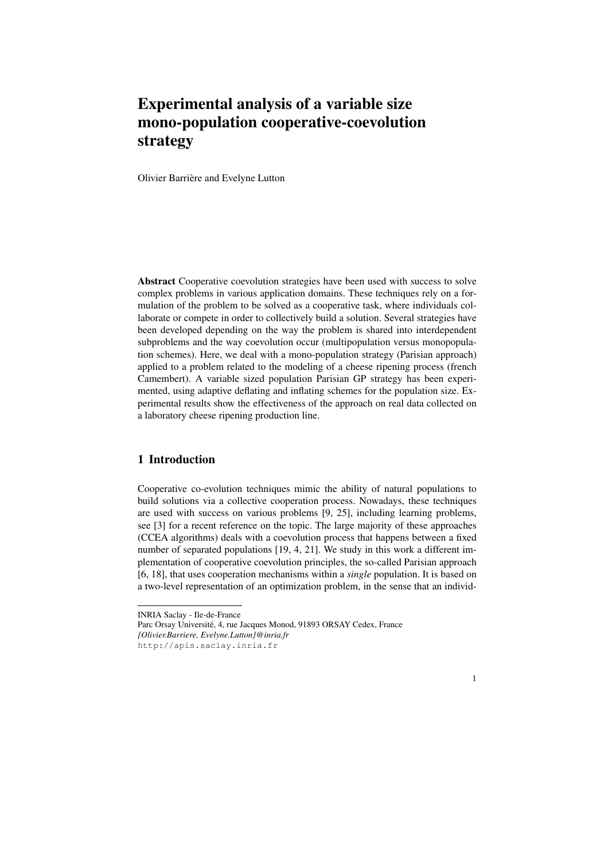# Experimental analysis of a variable size mono-population cooperative-coevolution strategy

Olivier Barrière and Evelyne Lutton

Abstract Cooperative coevolution strategies have been used with success to solve complex problems in various application domains. These techniques rely on a formulation of the problem to be solved as a cooperative task, where individuals collaborate or compete in order to collectively build a solution. Several strategies have been developed depending on the way the problem is shared into interdependent subproblems and the way coevolution occur (multipopulation versus monopopulation schemes). Here, we deal with a mono-population strategy (Parisian approach) applied to a problem related to the modeling of a cheese ripening process (french Camembert). A variable sized population Parisian GP strategy has been experimented, using adaptive deflating and inflating schemes for the population size. Experimental results show the effectiveness of the approach on real data collected on a laboratory cheese ripening production line.

# 1 Introduction

Cooperative co-evolution techniques mimic the ability of natural populations to build solutions via a collective cooperation process. Nowadays, these techniques are used with success on various problems [9, 25], including learning problems, see [3] for a recent reference on the topic. The large majority of these approaches (CCEA algorithms) deals with a coevolution process that happens between a fixed number of separated populations [19, 4, 21]. We study in this work a different implementation of cooperative coevolution principles, the so-called Parisian approach [6, 18], that uses cooperation mechanisms within a *single* population. It is based on a two-level representation of an optimization problem, in the sense that an individ-

1

INRIA Saclay - Ile-de-France

Parc Orsay Université, 4, rue Jacques Monod, 91893 ORSAY Cedex, France *{Olivier.Barriere, Evelyne.Lutton}@inria.fr*

http://apis.saclay.inria.fr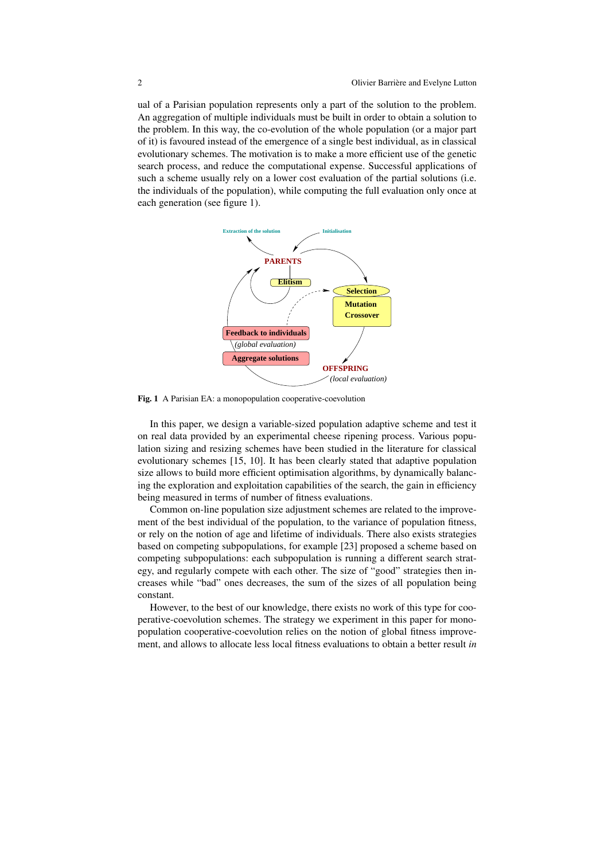ual of a Parisian population represents only a part of the solution to the problem. An aggregation of multiple individuals must be built in order to obtain a solution to the problem. In this way, the co-evolution of the whole population (or a major part of it) is favoured instead of the emergence of a single best individual, as in classical evolutionary schemes. The motivation is to make a more efficient use of the genetic search process, and reduce the computational expense. Successful applications of such a scheme usually rely on a lower cost evaluation of the partial solutions (i.e. the individuals of the population), while computing the full evaluation only once at each generation (see figure 1).



Fig. 1 A Parisian EA: a monopopulation cooperative-coevolution

In this paper, we design a variable-sized population adaptive scheme and test it on real data provided by an experimental cheese ripening process. Various population sizing and resizing schemes have been studied in the literature for classical evolutionary schemes [15, 10]. It has been clearly stated that adaptive population size allows to build more efficient optimisation algorithms, by dynamically balancing the exploration and exploitation capabilities of the search, the gain in efficiency being measured in terms of number of fitness evaluations.

Common on-line population size adjustment schemes are related to the improvement of the best individual of the population, to the variance of population fitness, or rely on the notion of age and lifetime of individuals. There also exists strategies based on competing subpopulations, for example [23] proposed a scheme based on competing subpopulations: each subpopulation is running a different search strategy, and regularly compete with each other. The size of "good" strategies then increases while "bad" ones decreases, the sum of the sizes of all population being constant.

However, to the best of our knowledge, there exists no work of this type for cooperative-coevolution schemes. The strategy we experiment in this paper for monopopulation cooperative-coevolution relies on the notion of global fitness improvement, and allows to allocate less local fitness evaluations to obtain a better result *in*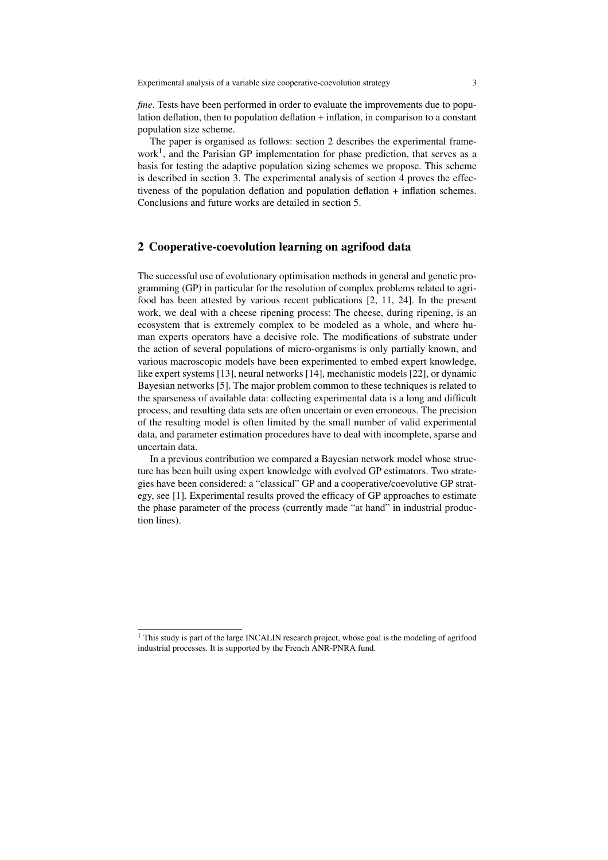Experimental analysis of a variable size cooperative-coevolution strategy 3

*fine*. Tests have been performed in order to evaluate the improvements due to population deflation, then to population deflation + inflation, in comparison to a constant population size scheme.

The paper is organised as follows: section 2 describes the experimental framework<sup>1</sup>, and the Parisian GP implementation for phase prediction, that serves as a basis for testing the adaptive population sizing schemes we propose. This scheme is described in section 3. The experimental analysis of section 4 proves the effectiveness of the population deflation and population deflation + inflation schemes. Conclusions and future works are detailed in section 5.

## 2 Cooperative-coevolution learning on agrifood data

The successful use of evolutionary optimisation methods in general and genetic programming (GP) in particular for the resolution of complex problems related to agrifood has been attested by various recent publications [2, 11, 24]. In the present work, we deal with a cheese ripening process: The cheese, during ripening, is an ecosystem that is extremely complex to be modeled as a whole, and where human experts operators have a decisive role. The modifications of substrate under the action of several populations of micro-organisms is only partially known, and various macroscopic models have been experimented to embed expert knowledge, like expert systems [13], neural networks [14], mechanistic models [22], or dynamic Bayesian networks [5]. The major problem common to these techniques is related to the sparseness of available data: collecting experimental data is a long and difficult process, and resulting data sets are often uncertain or even erroneous. The precision of the resulting model is often limited by the small number of valid experimental data, and parameter estimation procedures have to deal with incomplete, sparse and uncertain data.

In a previous contribution we compared a Bayesian network model whose structure has been built using expert knowledge with evolved GP estimators. Two strategies have been considered: a "classical" GP and a cooperative/coevolutive GP strategy, see [1]. Experimental results proved the efficacy of GP approaches to estimate the phase parameter of the process (currently made "at hand" in industrial production lines).

<sup>&</sup>lt;sup>1</sup> This study is part of the large INCALIN research project, whose goal is the modeling of agrifood industrial processes. It is supported by the French ANR-PNRA fund.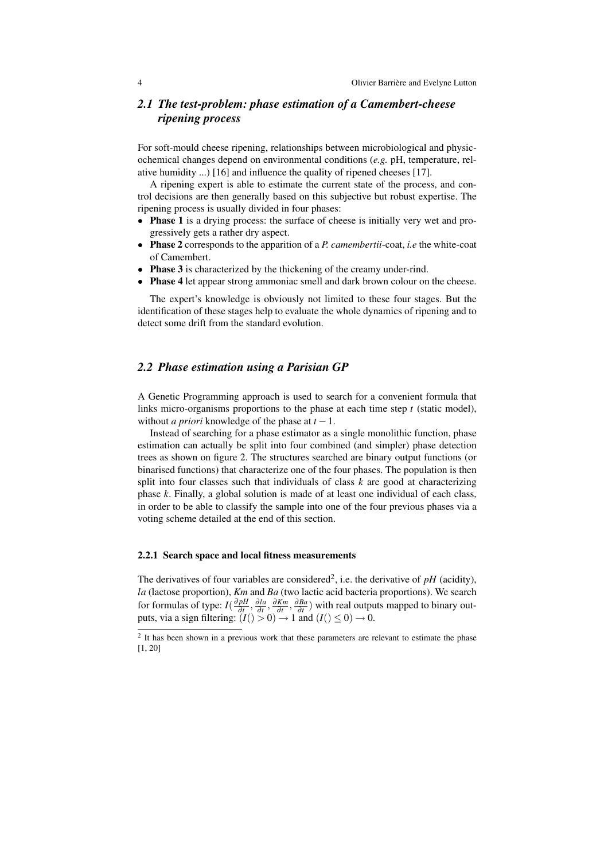# *2.1 The test-problem: phase estimation of a Camembert-cheese ripening process*

For soft-mould cheese ripening, relationships between microbiological and physicochemical changes depend on environmental conditions (*e.g.* pH, temperature, relative humidity ...) [16] and influence the quality of ripened cheeses [17].

A ripening expert is able to estimate the current state of the process, and control decisions are then generally based on this subjective but robust expertise. The ripening process is usually divided in four phases:

- **Phase 1** is a drying process: the surface of cheese is initially very wet and progressively gets a rather dry aspect.
- Phase 2 corresponds to the apparition of a *P. camembertii*-coat, *i.e* the white-coat of Camembert.
- **Phase 3** is characterized by the thickening of the creamy under-rind.
- Phase 4 let appear strong ammoniac smell and dark brown colour on the cheese.

The expert's knowledge is obviously not limited to these four stages. But the identification of these stages help to evaluate the whole dynamics of ripening and to detect some drift from the standard evolution.

## *2.2 Phase estimation using a Parisian GP*

A Genetic Programming approach is used to search for a convenient formula that links micro-organisms proportions to the phase at each time step *t* (static model), without *a priori* knowledge of the phase at  $t - 1$ .

Instead of searching for a phase estimator as a single monolithic function, phase estimation can actually be split into four combined (and simpler) phase detection trees as shown on figure 2. The structures searched are binary output functions (or binarised functions) that characterize one of the four phases. The population is then split into four classes such that individuals of class *k* are good at characterizing phase *k*. Finally, a global solution is made of at least one individual of each class, in order to be able to classify the sample into one of the four previous phases via a voting scheme detailed at the end of this section.

#### 2.2.1 Search space and local fitness measurements

The derivatives of four variables are considered<sup>2</sup>, i.e. the derivative of  $pH$  (acidity), *la* (lactose proportion), *Km* and *Ba* (two lactic acid bacteria proportions). We search for formulas of type:  $I\left(\frac{\partial pH}{\partial t}\right)$  $\frac{pH}{\partial t}$ ,  $\frac{\partial Ia}{\partial t}$ ,  $\frac{\partial Km}{\partial t}$ ,  $\frac{\partial Ba}{\partial t}$ ) with real outputs mapped to binary outputs, via a sign filtering:  $(I() > 0) \rightarrow 1$  and  $(I() \leq 0) \rightarrow 0$ .

 $2$  It has been shown in a previous work that these parameters are relevant to estimate the phase [1, 20]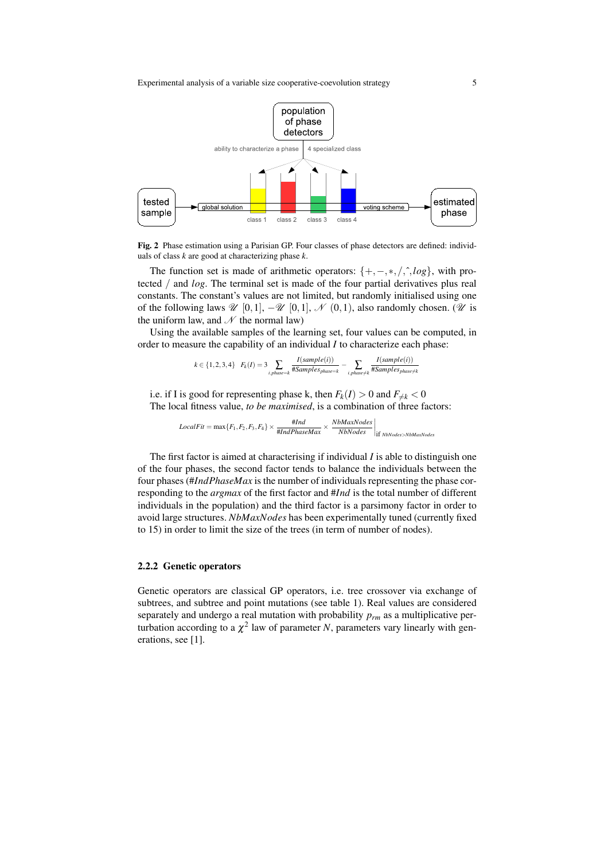

Fig. 2 Phase estimation using a Parisian GP. Four classes of phase detectors are defined: individuals of class *k* are good at characterizing phase *k*.

The function set is made of arithmetic operators: {+,−,∗, /,ˆ,*log*}, with protected / and *log*. The terminal set is made of the four partial derivatives plus real constants. The constant's values are not limited, but randomly initialised using one of the following laws  $\mathcal{U} [0,1], -\mathcal{U} [0,1], \mathcal{N} (0,1)$ , also randomly chosen. ( $\mathcal{U}$  is the uniform law, and  $N$  the normal law)

Using the available samples of the learning set, four values can be computed, in order to measure the capability of an individual *I* to characterize each phase:

$$
k \in \{1,2,3,4\} \quad F_k(I) = 3 \sum_{i,phase=k} \frac{I(sample(i))}{\#Samples_{phase=k}} - \sum_{i,phase \neq k} \frac{I(sample(i))}{\#Samples_{phase \neq k}}
$$

i.e. if I is good for representing phase k, then  $F_k(I) > 0$  and  $F_{\neq k} < 0$ The local fitness value, *to be maximised*, is a combination of three factors:

$$
LocalFit = max{F1, F2, F3, F4} × \frac{\#Ind}{\#IndPhaseMax} × \frac{NbMaxNodes}{NbNodes} \Big|_{if NbNodes > NbMaxNodes}
$$

The first factor is aimed at characterising if individual *I* is able to distinguish one of the four phases, the second factor tends to balance the individuals between the four phases (#*IndPhaseMax* is the number of individuals representing the phase corresponding to the *argmax* of the first factor and #*Ind* is the total number of different individuals in the population) and the third factor is a parsimony factor in order to avoid large structures. *NbMaxNodes* has been experimentally tuned (currently fixed to 15) in order to limit the size of the trees (in term of number of nodes).

### 2.2.2 Genetic operators

Genetic operators are classical GP operators, i.e. tree crossover via exchange of subtrees, and subtree and point mutations (see table 1). Real values are considered separately and undergo a real mutation with probability *prm* as a multiplicative perturbation according to a  $\chi^2$  law of parameter *N*, parameters vary linearly with generations, see [1].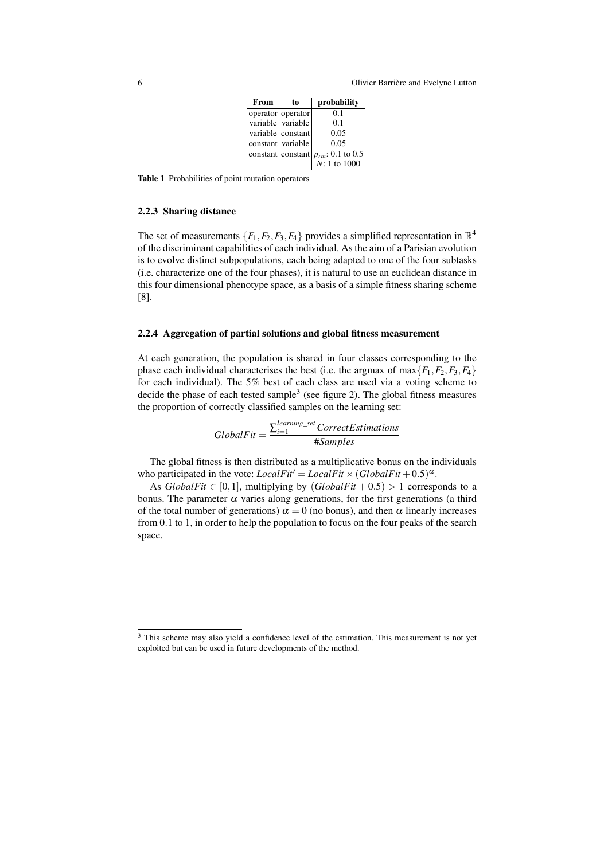| From | to                | probability                             |
|------|-------------------|-----------------------------------------|
|      | operator operator | 0.1                                     |
|      | variable variable | 0.1                                     |
|      | variable constant | 0.05                                    |
|      | constant variable | 0.05                                    |
|      |                   | constant constant $p_{rm}$ : 0.1 to 0.5 |
|      |                   | $N: 1$ to 1000                          |

Table 1 Probabilities of point mutation operators

## 2.2.3 Sharing distance

The set of measurements  $\{F_1, F_2, F_3, F_4\}$  provides a simplified representation in  $\mathbb{R}^4$ of the discriminant capabilities of each individual. As the aim of a Parisian evolution is to evolve distinct subpopulations, each being adapted to one of the four subtasks (i.e. characterize one of the four phases), it is natural to use an euclidean distance in this four dimensional phenotype space, as a basis of a simple fitness sharing scheme [8].

#### 2.2.4 Aggregation of partial solutions and global fitness measurement

At each generation, the population is shared in four classes corresponding to the phase each individual characterises the best (i.e. the argmax of max ${F_1, F_2, F_3, F_4}$ ) for each individual). The 5% best of each class are used via a voting scheme to decide the phase of each tested sample<sup>3</sup> (see figure 2). The global fitness measures the proportion of correctly classified samples on the learning set:

$$
GlobalFit = \frac{\sum_{i=1}^{learning\_set} CorrectEstimations}{#Samples}
$$

The global fitness is then distributed as a multiplicative bonus on the individuals who participated in the vote:  $LocalFit' = LocalFit \times (GlobalFit + 0.5)^{\alpha}$ .

As *GlobalFit*  $\in$  [0,1], multiplying by *(GlobalFit* + 0.5) > 1 corresponds to a bonus. The parameter  $\alpha$  varies along generations, for the first generations (a third of the total number of generations)  $\alpha = 0$  (no bonus), and then  $\alpha$  linearly increases from 0.1 to 1, in order to help the population to focus on the four peaks of the search space.

<sup>&</sup>lt;sup>3</sup> This scheme may also yield a confidence level of the estimation. This measurement is not yet exploited but can be used in future developments of the method.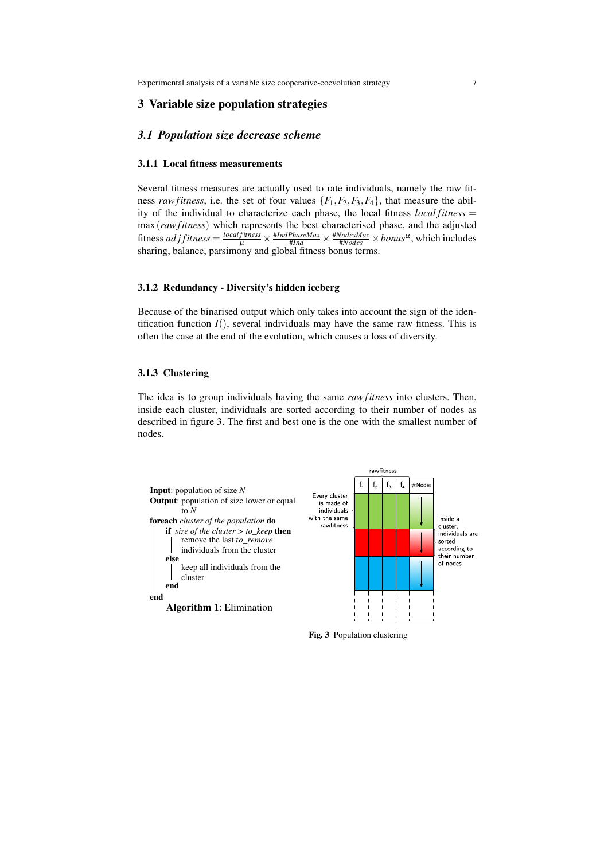## 3 Variable size population strategies

## *3.1 Population size decrease scheme*

## 3.1.1 Local fitness measurements

Several fitness measures are actually used to rate individuals, namely the raw fitness *raw fitness*, i.e. the set of four values  $\{F_1, F_2, F_3, F_4\}$ , that measure the ability of the individual to characterize each phase, the local fitness  $local fitness =$ max(*raw f itness*) which represents the best characterised phase, and the adjusted fitness  $adjfitness = \frac{localfitness}{\mu} \times \frac{\#IndPhaseMax}{\#Ind} \times \frac{\#NodesMax}{\#Nodes} \times bonus^{\alpha}$ , which includes sharing, balance, parsimony and global fitness bonus terms.

## 3.1.2 Redundancy - Diversity's hidden iceberg

Because of the binarised output which only takes into account the sign of the identification function  $I($ ), several individuals may have the same raw fitness. This is often the case at the end of the evolution, which causes a loss of diversity.

#### 3.1.3 Clustering

The idea is to group individuals having the same *raw fitness* into clusters. Then, inside each cluster, individuals are sorted according to their number of nodes as described in figure 3. The first and best one is the one with the smallest number of nodes.



Fig. 3 Population clustering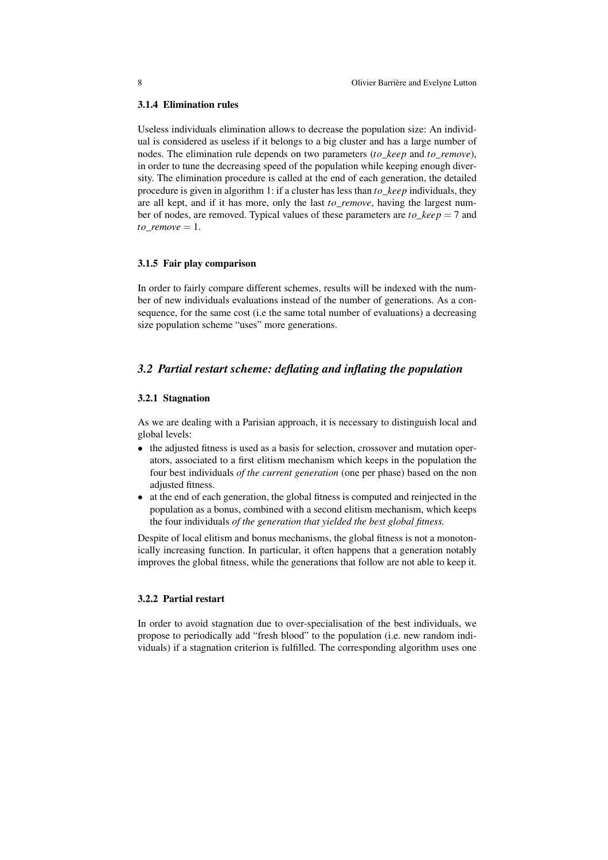## 3.1.4 Elimination rules

Useless individuals elimination allows to decrease the population size: An individual is considered as useless if it belongs to a big cluster and has a large number of nodes. The elimination rule depends on two parameters (*to*\_*keep* and *to*\_*remove*), in order to tune the decreasing speed of the population while keeping enough diversity. The elimination procedure is called at the end of each generation, the detailed procedure is given in algorithm 1: if a cluster has less than *to*\_*keep* individuals, they are all kept, and if it has more, only the last *to*\_*remove*, having the largest number of nodes, are removed. Typical values of these parameters are *to*\_*keep* = 7 and  $to$ *\_remove* = 1.

## 3.1.5 Fair play comparison

In order to fairly compare different schemes, results will be indexed with the number of new individuals evaluations instead of the number of generations. As a consequence, for the same cost (i.e the same total number of evaluations) a decreasing size population scheme "uses" more generations.

## *3.2 Partial restart scheme: deflating and inflating the population*

## 3.2.1 Stagnation

As we are dealing with a Parisian approach, it is necessary to distinguish local and global levels:

- the adjusted fitness is used as a basis for selection, crossover and mutation operators, associated to a first elitism mechanism which keeps in the population the four best individuals *of the current generation* (one per phase) based on the non adjusted fitness.
- at the end of each generation, the global fitness is computed and reinjected in the population as a bonus, combined with a second elitism mechanism, which keeps the four individuals *of the generation that yielded the best global fitness.*

Despite of local elitism and bonus mechanisms, the global fitness is not a monotonically increasing function. In particular, it often happens that a generation notably improves the global fitness, while the generations that follow are not able to keep it.

## 3.2.2 Partial restart

In order to avoid stagnation due to over-specialisation of the best individuals, we propose to periodically add "fresh blood" to the population (i.e. new random individuals) if a stagnation criterion is fulfilled. The corresponding algorithm uses one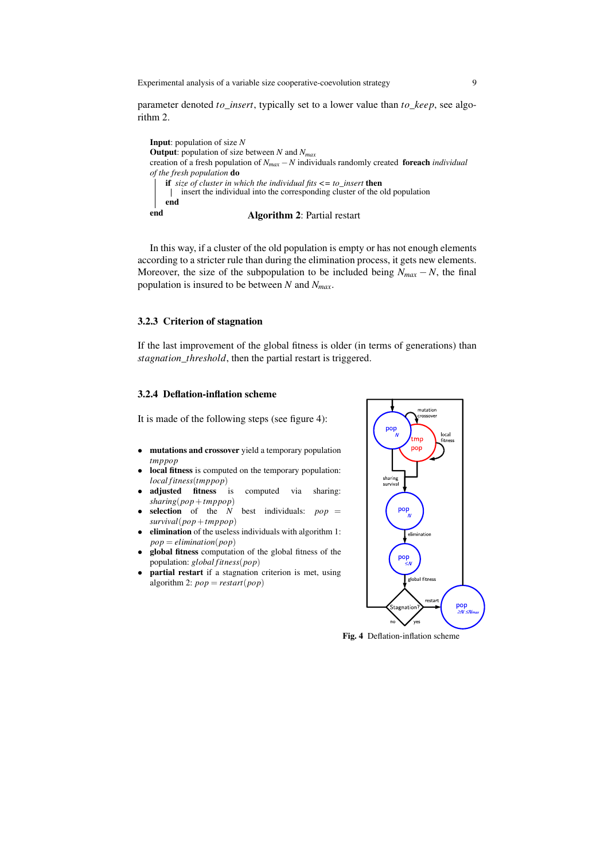Experimental analysis of a variable size cooperative-coevolution strategy 9

parameter denoted *to*\_*insert*, typically set to a lower value than *to*\_*keep*, see algorithm 2.



In this way, if a cluster of the old population is empty or has not enough elements according to a stricter rule than during the elimination process, it gets new elements. Moreover, the size of the subpopulation to be included being  $N_{max} - N$ , the final population is insured to be between *N* and *Nmax*.

## 3.2.3 Criterion of stagnation

If the last improvement of the global fitness is older (in terms of generations) than *stagnation*\_*threshold*, then the partial restart is triggered.

### 3.2.4 Deflation-inflation scheme

It is made of the following steps (see figure 4):

- mutations and crossover yield a temporary population *tmppop*
- local fitness is computed on the temporary population: *local f itness*(*tmppop*)
- adjusted fitness is computed via sharing: *sharing*(*pop*+*tmppop*)
- **selection** of the *N* best individuals:  $pop =$ *survival*(*pop*+*tmppop*)
- elimination of the useless individuals with algorithm 1: *pop* = *elimination*(*pop*)
- global fitness computation of the global fitness of the population: *global f itness*(*pop*)
- partial restart if a stagnation criterion is met, using algorithm 2:  $pop = restart(pop)$



Fig. 4 Deflation-inflation scheme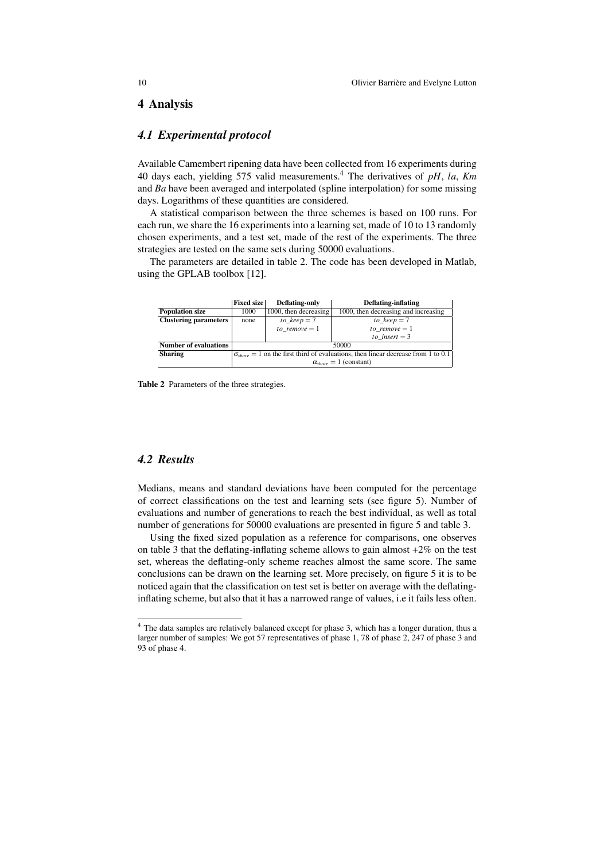# 4 Analysis

# *4.1 Experimental protocol*

Available Camembert ripening data have been collected from 16 experiments during 40 days each, yielding 575 valid measurements.<sup>4</sup> The derivatives of *pH*, *la*, *Km* and *Ba* have been averaged and interpolated (spline interpolation) for some missing days. Logarithms of these quantities are considered.

A statistical comparison between the three schemes is based on 100 runs. For each run, we share the 16 experiments into a learning set, made of 10 to 13 randomly chosen experiments, and a test set, made of the rest of the experiments. The three strategies are tested on the same sets during 50000 evaluations.

The parameters are detailed in table 2. The code has been developed in Matlab, using the GPLAB toolbox [12].

|                              | <b>Fixed size</b>                                                                          | <b>Deflating-only</b> | Deflating-inflating                  |  |  |
|------------------------------|--------------------------------------------------------------------------------------------|-----------------------|--------------------------------------|--|--|
| <b>Population size</b>       | 1000                                                                                       | 1000, then decreasing | 1000, then decreasing and increasing |  |  |
| <b>Clustering parameters</b> | none                                                                                       | $to\_keep = 7$        | $to\_keep = 7$                       |  |  |
|                              |                                                                                            | to remove $= 1$       | to remove $= 1$                      |  |  |
|                              |                                                                                            |                       | to insert $=$ 3                      |  |  |
| <b>Number of evaluations</b> | 50000                                                                                      |                       |                                      |  |  |
| <b>Sharing</b>               | $\sigma_{share} = 1$ on the first third of evaluations, then linear decrease from 1 to 0.1 |                       |                                      |  |  |
|                              | $\alpha_{share} = 1$ (constant)                                                            |                       |                                      |  |  |

Table 2 Parameters of the three strategies.

# *4.2 Results*

Medians, means and standard deviations have been computed for the percentage of correct classifications on the test and learning sets (see figure 5). Number of evaluations and number of generations to reach the best individual, as well as total number of generations for 50000 evaluations are presented in figure 5 and table 3.

Using the fixed sized population as a reference for comparisons, one observes on table 3 that the deflating-inflating scheme allows to gain almost  $+2\%$  on the test set, whereas the deflating-only scheme reaches almost the same score. The same conclusions can be drawn on the learning set. More precisely, on figure 5 it is to be noticed again that the classification on test set is better on average with the deflatinginflating scheme, but also that it has a narrowed range of values, i.e it fails less often.

<sup>4</sup> The data samples are relatively balanced except for phase 3, which has a longer duration, thus a larger number of samples: We got 57 representatives of phase 1, 78 of phase 2, 247 of phase 3 and 93 of phase 4.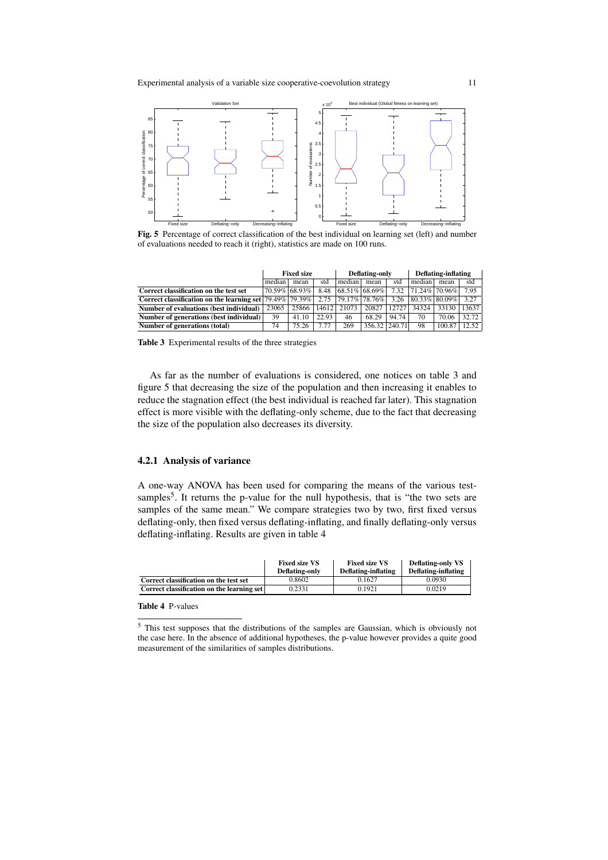

Fig. 5 Percentage of correct classification of the best individual on learning set (left) and number of evaluations needed to reach it (right), statistics are made on 100 runs.

|                                                              | <b>Fixed size</b> |                    |       | <b>Deflating-only</b>  |               |       | Deflating-inflating |        |       |
|--------------------------------------------------------------|-------------------|--------------------|-------|------------------------|---------------|-------|---------------------|--------|-------|
|                                                              | median            | mean               | std   | median                 | mean          | std   | median              | mean   | std   |
| Correct classification on the test set                       |                   | 70.59% 68.93%      | 8.48  | $68.51\%$ 68.69%       |               | 7.32  | $171.24\%$ 70.96%   |        | 7.95  |
| Correct classification on the learning set   79.49%   79.39% |                   |                    |       | 2.75   79.17%   78.76% |               | 3.26  | $ 80.33\% 80.09\% $ |        | 3.27  |
| Number of evaluations (best individual)                      | 23065             | 25866              | 14612 | 21073                  | 20827         | 12727 | 34324               | 33130  | 13637 |
| Number of generations (best individual)                      | 39                | 41.10              | 22.93 | 46                     | 68.29         | 94.74 | 70                  | 70.06  | 32.72 |
| Number of generations (total)                                | 74                | $75.\overline{26}$ |       | 269                    | 356.32 240.71 |       | 98                  | 100.87 | 12.52 |

Table 3 Experimental results of the three strategies

As far as the number of evaluations is considered, one notices on table 3 and figure 5 that decreasing the size of the population and then increasing it enables to reduce the stagnation effect (the best individual is reached far later). This stagnation effect is more visible with the deflating-only scheme, due to the fact that decreasing the size of the population also decreases its diversity.

#### 4.2.1 Analysis of variance

A one-way ANOVA has been used for comparing the means of the various testsamples<sup>5</sup>. It returns the p-value for the null hypothesis, that is "the two sets are samples of the same mean." We compare strategies two by two, first fixed versus deflating-only, then fixed versus deflating-inflating, and finally deflating-only versus deflating-inflating. Results are given in table 4

|                                            | <b>Fixed size VS</b><br><b>Deflating-only</b> | <b>Fixed size VS</b><br>Deflating-inflating | <b>Deflating-only VS</b><br>Deflating-inflating |
|--------------------------------------------|-----------------------------------------------|---------------------------------------------|-------------------------------------------------|
| Correct classification on the test set     | 0.8602                                        | 0.1627                                      | 0.0930                                          |
| Correct classification on the learning set | 0.2331                                        | 0.1921                                      | 0.0219                                          |
|                                            |                                               |                                             |                                                 |

Table 4 P-values

<sup>5</sup> This test supposes that the distributions of the samples are Gaussian, which is obviously not the case here. In the absence of additional hypotheses, the p-value however provides a quite good measurement of the similarities of samples distributions.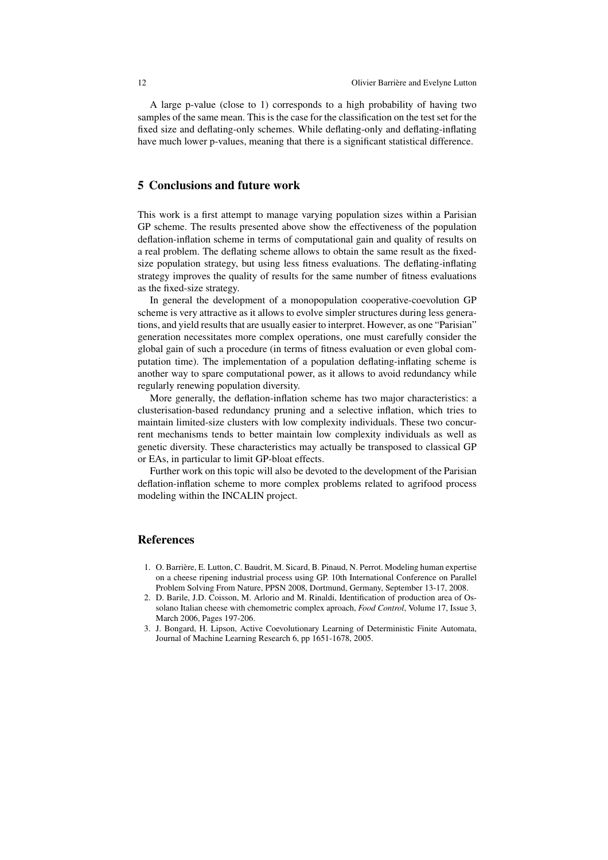A large p-value (close to 1) corresponds to a high probability of having two samples of the same mean. This is the case for the classification on the test set for the fixed size and deflating-only schemes. While deflating-only and deflating-inflating have much lower p-values, meaning that there is a significant statistical difference.

# 5 Conclusions and future work

This work is a first attempt to manage varying population sizes within a Parisian GP scheme. The results presented above show the effectiveness of the population deflation-inflation scheme in terms of computational gain and quality of results on a real problem. The deflating scheme allows to obtain the same result as the fixedsize population strategy, but using less fitness evaluations. The deflating-inflating strategy improves the quality of results for the same number of fitness evaluations as the fixed-size strategy.

In general the development of a monopopulation cooperative-coevolution GP scheme is very attractive as it allows to evolve simpler structures during less generations, and yield results that are usually easier to interpret. However, as one "Parisian" generation necessitates more complex operations, one must carefully consider the global gain of such a procedure (in terms of fitness evaluation or even global computation time). The implementation of a population deflating-inflating scheme is another way to spare computational power, as it allows to avoid redundancy while regularly renewing population diversity.

More generally, the deflation-inflation scheme has two major characteristics: a clusterisation-based redundancy pruning and a selective inflation, which tries to maintain limited-size clusters with low complexity individuals. These two concurrent mechanisms tends to better maintain low complexity individuals as well as genetic diversity. These characteristics may actually be transposed to classical GP or EAs, in particular to limit GP-bloat effects.

Further work on this topic will also be devoted to the development of the Parisian deflation-inflation scheme to more complex problems related to agrifood process modeling within the INCALIN project.

## **References**

- 1. O. Barrière, E. Lutton, C. Baudrit, M. Sicard, B. Pinaud, N. Perrot. Modeling human expertise on a cheese ripening industrial process using GP. 10th International Conference on Parallel Problem Solving From Nature, PPSN 2008, Dortmund, Germany, September 13-17, 2008.
- 2. D. Barile, J.D. Coisson, M. Arlorio and M. Rinaldi, Identification of production area of Ossolano Italian cheese with chemometric complex aproach, *Food Control*, Volume 17, Issue 3, March 2006, Pages 197-206.
- 3. J. Bongard, H. Lipson, Active Coevolutionary Learning of Deterministic Finite Automata, Journal of Machine Learning Research 6, pp 1651-1678, 2005.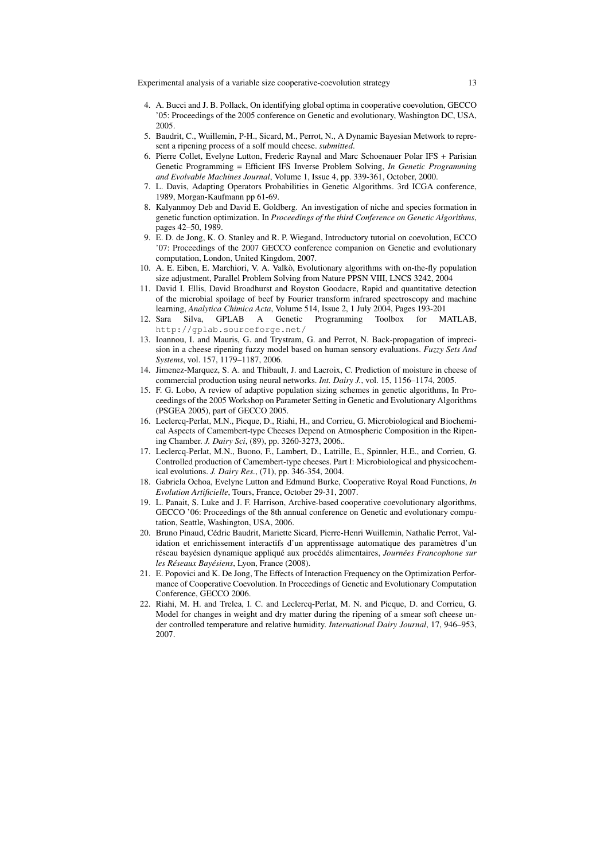Experimental analysis of a variable size cooperative-coevolution strategy 13

- 4. A. Bucci and J. B. Pollack, On identifying global optima in cooperative coevolution, GECCO '05: Proceedings of the 2005 conference on Genetic and evolutionary, Washington DC, USA, 2005.
- 5. Baudrit, C., Wuillemin, P-H., Sicard, M., Perrot, N., A Dynamic Bayesian Metwork to represent a ripening process of a solf mould cheese. *submitted*.
- 6. Pierre Collet, Evelyne Lutton, Frederic Raynal and Marc Schoenauer Polar IFS + Parisian Genetic Programming = Efficient IFS Inverse Problem Solving, *In Genetic Programming and Evolvable Machines Journal*, Volume 1, Issue 4, pp. 339-361, October, 2000.
- 7. L. Davis, Adapting Operators Probabilities in Genetic Algorithms. 3rd ICGA conference, 1989, Morgan-Kaufmann pp 61-69.
- 8. Kalyanmoy Deb and David E. Goldberg. An investigation of niche and species formation in genetic function optimization. In *Proceedings of the third Conference on Genetic Algorithms*, pages 42–50, 1989.
- 9. E. D. de Jong, K. O. Stanley and R. P. Wiegand, Introductory tutorial on coevolution, ECCO '07: Proceedings of the 2007 GECCO conference companion on Genetic and evolutionary computation, London, United Kingdom, 2007.
- 10. A. E. Eiben, E. Marchiori, V. A. Valkò, Evolutionary algorithms with on-the-fly population size adjustment, Parallel Problem Solving from Nature PPSN VIII, LNCS 3242, 2004
- 11. David I. Ellis, David Broadhurst and Royston Goodacre, Rapid and quantitative detection of the microbial spoilage of beef by Fourier transform infrared spectroscopy and machine learning, *Analytica Chimica Acta*, Volume 514, Issue 2, 1 July 2004, Pages 193-201
- 12. Sara Silva, GPLAB A Genetic Programming Toolbox for MATLAB, http://gplab.sourceforge.net/
- 13. Ioannou, I. and Mauris, G. and Trystram, G. and Perrot, N. Back-propagation of imprecision in a cheese ripening fuzzy model based on human sensory evaluations. *Fuzzy Sets And Systems*, vol. 157, 1179–1187, 2006.
- 14. Jimenez-Marquez, S. A. and Thibault, J. and Lacroix, C. Prediction of moisture in cheese of commercial production using neural networks. *Int. Dairy J.*, vol. 15, 1156–1174, 2005.
- 15. F. G. Lobo, A review of adaptive population sizing schemes in genetic algorithms, In Proceedings of the 2005 Workshop on Parameter Setting in Genetic and Evolutionary Algorithms (PSGEA 2005), part of GECCO 2005.
- 16. Leclercq-Perlat, M.N., Picque, D., Riahi, H., and Corrieu, G. Microbiological and Biochemical Aspects of Camembert-type Cheeses Depend on Atmospheric Composition in the Ripening Chamber. *J. Dairy Sci*, (89), pp. 3260-3273, 2006..
- 17. Leclercq-Perlat, M.N., Buono, F., Lambert, D., Latrille, E., Spinnler, H.E., and Corrieu, G. Controlled production of Camembert-type cheeses. Part I: Microbiological and physicochemical evolutions. *J. Dairy Res.*, (71), pp. 346-354, 2004.
- 18. Gabriela Ochoa, Evelyne Lutton and Edmund Burke, Cooperative Royal Road Functions, *In Evolution Artificielle*, Tours, France, October 29-31, 2007.
- 19. L. Panait, S. Luke and J. F. Harrison, Archive-based cooperative coevolutionary algorithms, GECCO '06: Proceedings of the 8th annual conference on Genetic and evolutionary computation, Seattle, Washington, USA, 2006.
- 20. Bruno Pinaud, Cédric Baudrit, Mariette Sicard, Pierre-Henri Wuillemin, Nathalie Perrot, Validation et enrichissement interactifs d'un apprentissage automatique des paramètres d'un réseau bayésien dynamique appliqué aux procédés alimentaires, *Journées Francophone sur les Réseaux Bayésiens*, Lyon, France (2008).
- 21. E. Popovici and K. De Jong, The Effects of Interaction Frequency on the Optimization Performance of Cooperative Coevolution. In Proceedings of Genetic and Evolutionary Computation Conference, GECCO 2006.
- 22. Riahi, M. H. and Trelea, I. C. and Leclercq-Perlat, M. N. and Picque, D. and Corrieu, G. Model for changes in weight and dry matter during the ripening of a smear soft cheese under controlled temperature and relative humidity. *International Dairy Journal*, 17, 946–953, 2007.